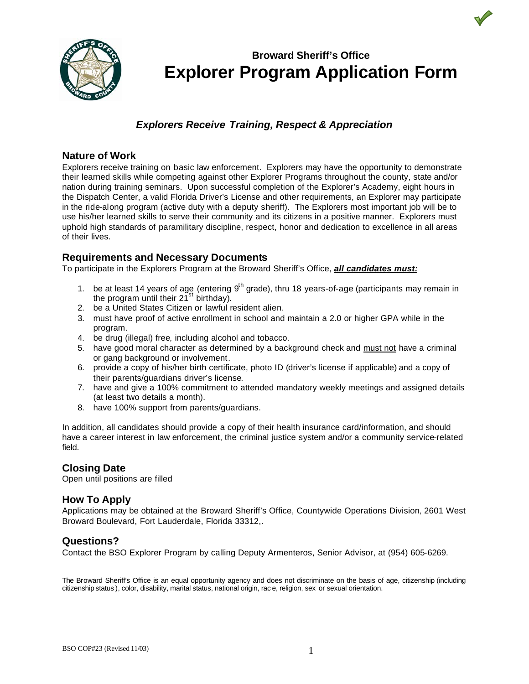

## *Explorers Receive Training, Respect & Appreciation*

### **Nature of Work**

Explorers receive training on basic law enforcement. Explorers may have the opportunity to demonstrate their learned skills while competing against other Explorer Programs throughout the county, state and/or nation during training seminars. Upon successful completion of the Explorer's Academy, eight hours in the Dispatch Center, a valid Florida Driver's License and other requirements, an Explorer may participate in the ride-along program (active duty with a deputy sheriff). The Explorers most important job will be to use his/her learned skills to serve their community and its citizens in a positive manner. Explorers must uphold high standards of paramilitary discipline, respect, honor and dedication to excellence in all areas of their lives.

#### **Requirements and Necessary Documents**

To participate in the Explorers Program at the Broward Sheriff's Office, *all candidates must:*

- 1. be at least 14 years of age (entering  $9<sup>th</sup>$  grade), thru 18 years-of-age (participants may remain in the program until their  $21^{st}$  birthday).
- 2. be a United States Citizen or lawful resident alien.
- 3. must have proof of active enrollment in school and maintain a 2.0 or higher GPA while in the program.
- 4. be drug (illegal) free, including alcohol and tobacco.
- 5. have good moral character as determined by a background check and must not have a criminal or gang background or involvement.
- 6. provide a copy of his/her birth certificate, photo ID (driver's license if applicable) and a copy of their parents/guardians driver's license.
- 7. have and give a 100% commitment to attended mandatory weekly meetings and assigned details (at least two details a month).
- 8. have 100% support from parents/guardians.

In addition, all candidates should provide a copy of their health insurance card/information, and should have a career interest in law enforcement, the criminal justice system and/or a community service-related field.

### **Closing Date**

Open until positions are filled

### **How To Apply**

Applications may be obtained at the Broward Sheriff's Office, Countywide Operations Division, 2601 West Broward Boulevard, Fort Lauderdale, Florida 33312,.

### **Questions?**

Contact the BSO Explorer Program by calling Deputy Armenteros, Senior Advisor, at (954) 605-6269.

The Broward Sheriff's Office is an equal opportunity agency and does not discriminate on the basis of age, citizenship (including citizenship status ), color, disability, marital status, national origin, rac e, religion, sex or sexual orientation.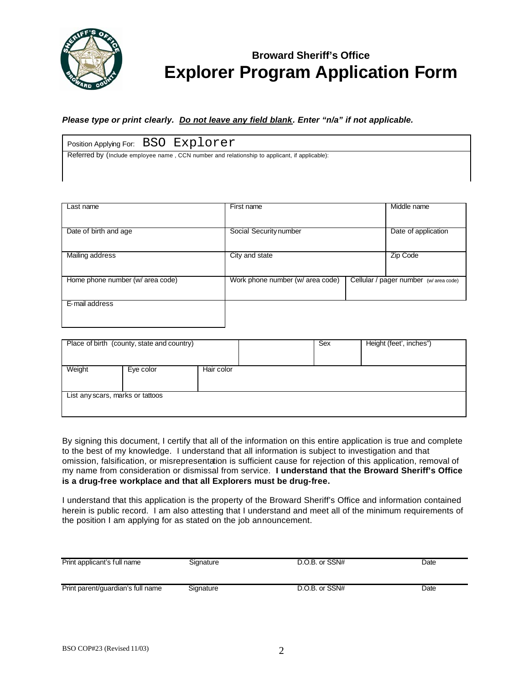

*Please type or print clearly. Do not leave any field blank. Enter "n/a" if not applicable.*

| Position Applying For: BSO Explorer                                                           |  |
|-----------------------------------------------------------------------------------------------|--|
| Referred by (Include employee name, CCN number and relationship to applicant, if applicable): |  |

| Last name                        | First name                       | Middle name                           |
|----------------------------------|----------------------------------|---------------------------------------|
|                                  |                                  |                                       |
| Date of birth and age            | Social Security number           | Date of application                   |
|                                  |                                  |                                       |
| Mailing address                  | City and state                   | Zip Code                              |
|                                  |                                  |                                       |
| Home phone number (w/ area code) | Work phone number (w/ area code) | Cellular / pager number (w/area code) |
|                                  |                                  |                                       |
| E-mail address                   |                                  |                                       |
|                                  |                                  |                                       |

|                                  | Place of birth (county, state and country) |            | Sex | Height (feet', inches") |
|----------------------------------|--------------------------------------------|------------|-----|-------------------------|
| Weight                           | Eye color                                  | Hair color |     |                         |
|                                  |                                            |            |     |                         |
| List any scars, marks or tattoos |                                            |            |     |                         |
|                                  |                                            |            |     |                         |

By signing this document, I certify that all of the information on this entire application is true and complete to the best of my knowledge. I understand that all information is subject to investigation and that omission, falsification, or misrepresentation is sufficient cause for rejection of this application, removal of my name from consideration or dismissal from service. **I understand that the Broward Sheriff's Office is a drug-free workplace and that all Explorers must be drug-free.**

I understand that this application is the property of the Broward Sheriff's Office and information contained herein is public record. I am also attesting that I understand and meet all of the minimum requirements of the position I am applying for as stated on the job announcement.

| Print applicant's full name       | Signature | D.O.B. or SSN# | Date |
|-----------------------------------|-----------|----------------|------|
| Print parent/guardian's full name | Signature | D.O.B. or SSN# | Date |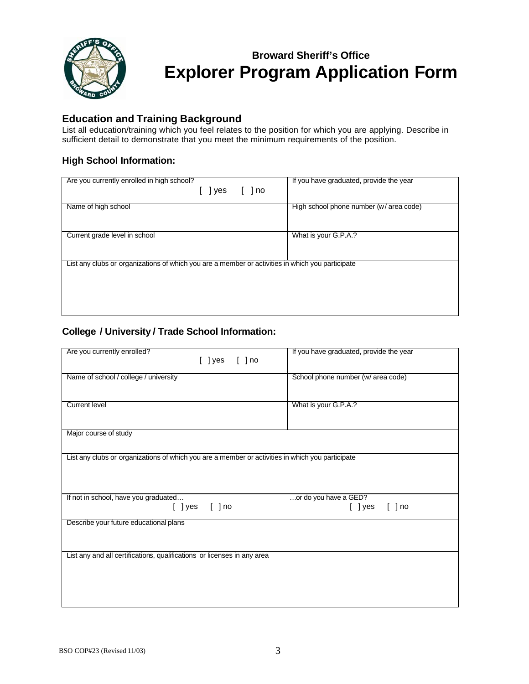

## **Education and Training Background**

List all education/training which you feel relates to the position for which you are applying. Describe in sufficient detail to demonstrate that you meet the minimum requirements of the position.

## **High School Information:**

| Are you currently enrolled in high school?                                                       | If you have graduated, provide the year |
|--------------------------------------------------------------------------------------------------|-----------------------------------------|
| 1 no<br>l yes                                                                                    |                                         |
| Name of high school                                                                              | High school phone number (w/ area code) |
| Current grade level in school                                                                    | What is your G.P.A.?                    |
| List any clubs or organizations of which you are a member or activities in which you participate |                                         |
|                                                                                                  |                                         |

### **College / University / Trade School Information:**

| Are you currently enrolled?<br>$[$ ] yes $[$ ] no                                                | If you have graduated, provide the year        |
|--------------------------------------------------------------------------------------------------|------------------------------------------------|
| Name of school / college / university                                                            | School phone number (w/ area code)             |
| <b>Current level</b>                                                                             | What is your G.P.A.?                           |
| Major course of study                                                                            |                                                |
| List any clubs or organizations of which you are a member or activities in which you participate |                                                |
| If not in school, have you graduated<br>$[ ]$ no<br>[ ] yes                                      | or do you have a GED?<br>$[$ ] yes<br>$[ ]$ no |
| Describe your future educational plans                                                           |                                                |
| List any and all certifications, qualifications or licenses in any area                          |                                                |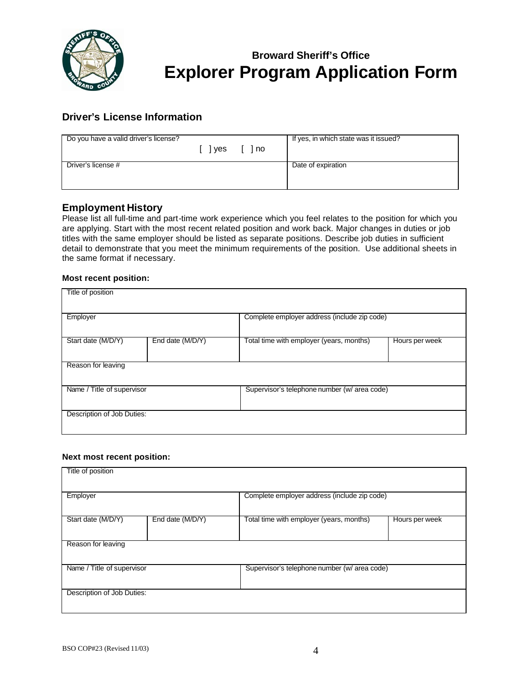

## **Driver's License Information**

| Do you have a valid driver's license? | lyes [ ]no | If yes, in which state was it issued? |
|---------------------------------------|------------|---------------------------------------|
| Driver's license #                    |            | Date of expiration                    |

## **Employment History**

Please list all full-time and part-time work experience which you feel relates to the position for which you are applying. Start with the most recent related position and work back. Major changes in duties or job titles with the same employer should be listed as separate positions. Describe job duties in sufficient detail to demonstrate that you meet the minimum requirements of the position. Use additional sheets in the same format if necessary.

#### **Most recent position:**

| Title of position          |                  |                                              |                |
|----------------------------|------------------|----------------------------------------------|----------------|
| Employer                   |                  | Complete employer address (include zip code) |                |
| Start date (M/D/Y)         | End date (M/D/Y) | Total time with employer (years, months)     | Hours per week |
| Reason for leaving         |                  |                                              |                |
| Name / Title of supervisor |                  | Supervisor's telephone number (w/ area code) |                |
| Description of Job Duties: |                  |                                              |                |

#### **Next most recent position:**

| Title of position          |                  |                                              |                |
|----------------------------|------------------|----------------------------------------------|----------------|
| Employer                   |                  | Complete employer address (include zip code) |                |
| Start date (M/D/Y)         | End date (M/D/Y) | Total time with employer (years, months)     | Hours per week |
| Reason for leaving         |                  |                                              |                |
| Name / Title of supervisor |                  | Supervisor's telephone number (w/ area code) |                |
| Description of Job Duties: |                  |                                              |                |
|                            |                  |                                              |                |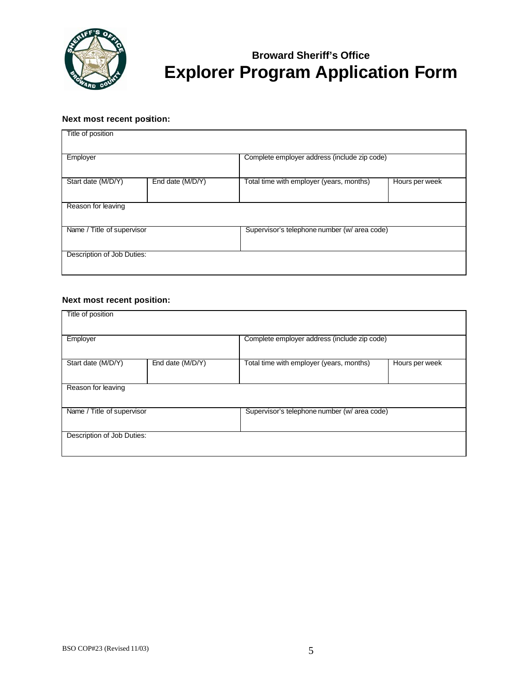

#### **Next most recent position:**

| Title of position          |                  |                                              |                |
|----------------------------|------------------|----------------------------------------------|----------------|
| Employer                   |                  | Complete employer address (include zip code) |                |
| Start date (M/D/Y)         | End date (M/D/Y) | Total time with employer (years, months)     | Hours per week |
| Reason for leaving         |                  |                                              |                |
| Name / Title of supervisor |                  | Supervisor's telephone number (w/ area code) |                |
| Description of Job Duties: |                  |                                              |                |

## **Next most recent position:**

| Title of position          |                  |                                              |                |
|----------------------------|------------------|----------------------------------------------|----------------|
| Employer                   |                  | Complete employer address (include zip code) |                |
| Start date (M/D/Y)         | End date (M/D/Y) | Total time with employer (years, months)     | Hours per week |
| Reason for leaving         |                  |                                              |                |
| Name / Title of supervisor |                  | Supervisor's telephone number (w/ area code) |                |
| Description of Job Duties: |                  |                                              |                |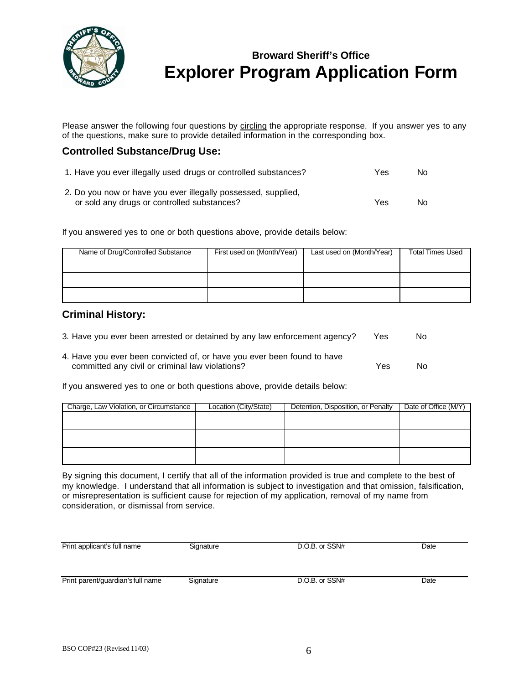

Please answer the following four questions by circling the appropriate response. If you answer yes to any of the questions, make sure to provide detailed information in the corresponding box.

### **Controlled Substance/Drug Use:**

|  |  | 1. Have you ever illegally used drugs or controlled substances? | Yes.<br>No. |  |
|--|--|-----------------------------------------------------------------|-------------|--|
|--|--|-----------------------------------------------------------------|-------------|--|

2. Do you now or have you ever illegally possessed, supplied, or sold any drugs or controlled substances? The North State Controlled substances North American North State Controlled State Controlled State Controlled State Controlled State Controlled State Controlled State Controlled

If you answered yes to one or both questions above, provide details below:

| Name of Drug/Controlled Substance | First used on (Month/Year) | Last used on (Month/Year) | <b>Total Times Used</b> |
|-----------------------------------|----------------------------|---------------------------|-------------------------|
|                                   |                            |                           |                         |
|                                   |                            |                           |                         |
|                                   |                            |                           |                         |
|                                   |                            |                           |                         |
|                                   |                            |                           |                         |
|                                   |                            |                           |                         |

#### **Criminal History:**

| 3. Have you ever been arrested or detained by any law enforcement agency?                                                  | Yes | No  |
|----------------------------------------------------------------------------------------------------------------------------|-----|-----|
| 4. Have you ever been convicted of, or have you ever been found to have<br>committed any civil or criminal law violations? | Yes | No. |

If you answered yes to one or both questions above, provide details below:

| Charge, Law Violation, or Circumstance | Location (City/State) | Detention, Disposition, or Penalty | Date of Office (M/Y) |
|----------------------------------------|-----------------------|------------------------------------|----------------------|
|                                        |                       |                                    |                      |
|                                        |                       |                                    |                      |
|                                        |                       |                                    |                      |
|                                        |                       |                                    |                      |
|                                        |                       |                                    |                      |
|                                        |                       |                                    |                      |

By signing this document, I certify that all of the information provided is true and complete to the best of my knowledge. I understand that all information is subject to investigation and that omission, falsification, or misrepresentation is sufficient cause for rejection of my application, removal of my name from consideration, or dismissal from service.

| Print applicant's full name       | Signature | D.O.B. or SSN# | Date |
|-----------------------------------|-----------|----------------|------|
| Print parent/guardian's full name | Signature | D.O.B. or SSN# | Date |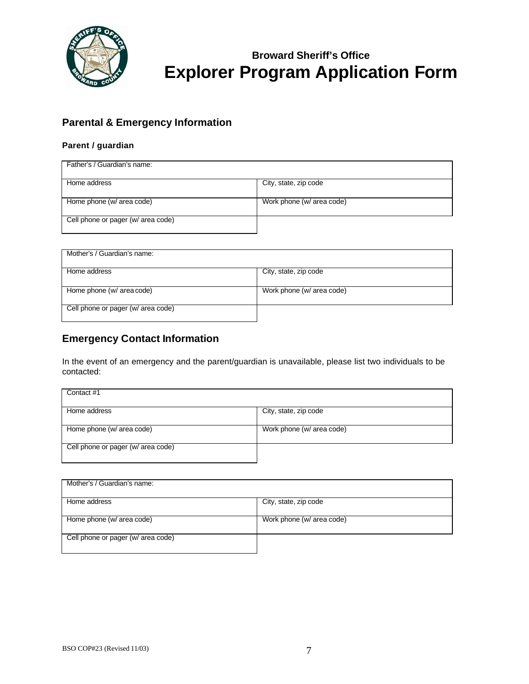

## **Parental & Emergency Information**

### **Parent / guardian**

| Father's / Guardian's name:        |                           |
|------------------------------------|---------------------------|
| Home address                       | City, state, zip code     |
| Home phone (w/ area code)          | Work phone (w/ area code) |
| Cell phone or pager (w/ area code) |                           |

| Mother's / Guardian's name:        |                           |
|------------------------------------|---------------------------|
| Home address                       | City, state, zip code     |
| Home phone (w/ area code)          | Work phone (w/ area code) |
| Cell phone or pager (w/ area code) |                           |

## **Emergency Contact Information**

In the event of an emergency and the parent/guardian is unavailable, please list two individuals to be contacted:

| Contact #1                         |                           |
|------------------------------------|---------------------------|
| Home address                       | City, state, zip code     |
| Home phone (w/ area code)          | Work phone (w/ area code) |
| Cell phone or pager (w/ area code) |                           |

| Mother's / Guardian's name:        |                           |
|------------------------------------|---------------------------|
| Home address                       | City, state, zip code     |
| Home phone (w/ area code)          | Work phone (w/ area code) |
| Cell phone or pager (w/ area code) |                           |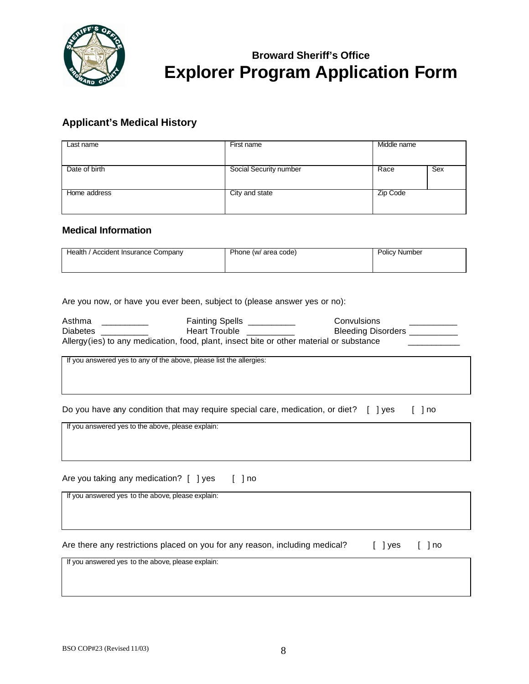

## **Applicant's Medical History**

| Last name     | First name             | Middle name |     |
|---------------|------------------------|-------------|-----|
| Date of birth | Social Security number | Race        | Sex |
| Home address  | City and state         | Zip Code    |     |

### **Medical Information**

| Health /<br>/ Accident Insurance Company | Phone (w/ area code) | <b>Policy Number</b> |
|------------------------------------------|----------------------|----------------------|
|                                          |                      |                      |

Are you now, or have you ever been, subject to (please answer yes or no):

| Asthma          | Fainting Spells                                                                          | Convulsions               |
|-----------------|------------------------------------------------------------------------------------------|---------------------------|
| <b>Diabetes</b> | <b>Heart Trouble</b>                                                                     | <b>Bleeding Disorders</b> |
|                 | Allergy (ies) to any medication, food, plant, insect bite or other material or substance |                           |

If you answered yes to any of the above, please list the allergies:

|  |  | Do you have any condition that may require special care, medication, or diet? [ ] yes [ ] no |  |
|--|--|----------------------------------------------------------------------------------------------|--|
|  |  |                                                                                              |  |

If you answered yes to the above, please explain:

Are you taking any medication? [ ] yes [ ] no

If you answered yes to the above, please explain:

Are there any restrictions placed on you for any reason, including medical? [ ] yes [ ] no

If you answered yes to the above, please explain: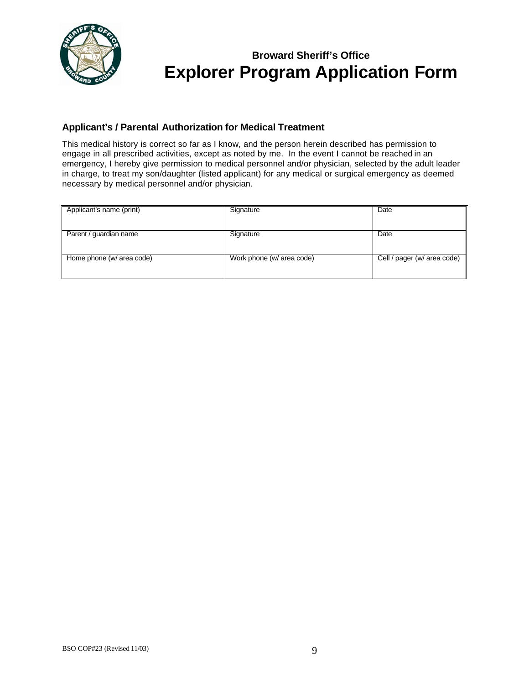

### **Applicant's / Parental Authorization for Medical Treatment**

This medical history is correct so far as I know, and the person herein described has permission to engage in all prescribed activities, except as noted by me. In the event I cannot be reached in an emergency, I hereby give permission to medical personnel and/or physician, selected by the adult leader in charge, to treat my son/daughter (listed applicant) for any medical or surgical emergency as deemed necessary by medical personnel and/or physician.

| Applicant's name (print)  | Signature                 | Date                        |
|---------------------------|---------------------------|-----------------------------|
|                           |                           |                             |
|                           |                           |                             |
| Parent / guardian name    | Signature                 | Date                        |
|                           |                           |                             |
|                           |                           |                             |
| Home phone (w/ area code) | Work phone (w/ area code) | Cell / pager (w/ area code) |
|                           |                           |                             |
|                           |                           |                             |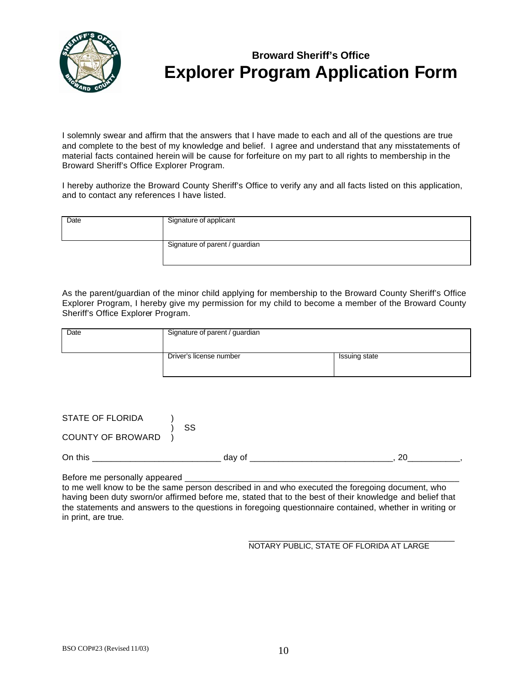

I solemnly swear and affirm that the answers that I have made to each and all of the questions are true and complete to the best of my knowledge and belief. I agree and understand that any misstatements of material facts contained herein will be cause for forfeiture on my part to all rights to membership in the Broward Sheriff's Office Explorer Program.

I hereby authorize the Broward County Sheriff's Office to verify any and all facts listed on this application, and to contact any references I have listed.

| Date | Signature of applicant         |
|------|--------------------------------|
|      | Signature of parent / guardian |

As the parent/guardian of the minor child applying for membership to the Broward County Sheriff's Office Explorer Program, I hereby give my permission for my child to become a member of the Broward County Sheriff's Office Explorer Program.

| Date | Signature of parent / guardian |               |  |  |
|------|--------------------------------|---------------|--|--|
|      | Driver's license number        | Issuing state |  |  |

| STATE OF FLORIDA         | SS     |  |  |
|--------------------------|--------|--|--|
| <b>COUNTY OF BROWARD</b> |        |  |  |
| On this                  | dav of |  |  |

Before me personally appeared

to me well know to be the same person described in and who executed the foregoing document, who having been duty sworn/or affirmed before me, stated that to the best of their knowledge and belief that the statements and answers to the questions in foregoing questionnaire contained, whether in writing or in print, are true.

#### \_\_\_\_\_\_\_\_\_\_\_\_\_\_\_\_\_\_\_\_\_\_\_\_\_\_\_\_\_\_\_\_\_\_\_\_\_\_\_\_\_\_\_ NOTARY PUBLIC, STATE OF FLORIDA AT LARGE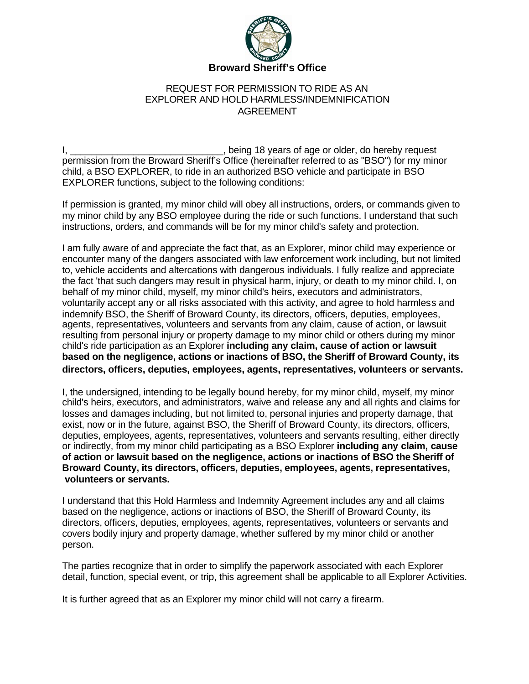

### REQUEST FOR PERMISSION TO RIDE AS AN EXPLORER AND HOLD HARMLESS/INDEMNIFICATION AGREEMENT

I, \_\_\_\_\_\_\_\_\_\_\_\_\_\_\_\_\_\_\_\_\_\_\_\_\_\_\_\_\_\_\_\_\_, being 18 years of age or older, do hereby request permission from the Broward Sheriff's Office (hereinafter referred to as "BSO") for my minor child, a BSO EXPLORER, to ride in an authorized BSO vehicle and participate in BSO EXPLORER functions, subject to the following conditions:

If permission is granted, my minor child will obey all instructions, orders, or commands given to my minor child by any BSO employee during the ride or such functions. I understand that such instructions, orders, and commands will be for my minor child's safety and protection.

I am fully aware of and appreciate the fact that, as an Explorer, minor child may experience or encounter many of the dangers associated with law enforcement work including, but not limited to, vehicle accidents and altercations with dangerous individuals. I fully realize and appreciate the fact 'that such dangers may result in physical harm, injury, or death to my minor child. I, on behalf of my minor child, myself, my minor child's heirs, executors and administrators, voluntarily accept any or all risks associated with this activity, and agree to hold harmless and indemnify BSO, the Sheriff of Broward County, its directors, officers, deputies, employees, agents, representatives, volunteers and servants from any claim, cause of action, or lawsuit resulting from personal injury or property damage to my minor child or others during my minor child's ride participation as an Explorer **including any claim, cause of action or lawsuit based on the negligence, actions or inactions of BSO, the Sheriff of Broward County, its directors, officers, deputies, employees, agents, representatives, volunteers or servants.**

I, the undersigned, intending to be legally bound hereby, for my minor child, myself, my minor child's heirs, executors, and administrators, waive and release any and all rights and claims for losses and damages including, but not limited to, personal injuries and property damage, that exist, now or in the future, against BSO, the Sheriff of Broward County, its directors, officers, deputies, employees, agents, representatives, volunteers and servants resulting, either directly or indirectly, from my minor child participating as a BSO Explorer **including any claim, cause of action or lawsuit based on the negligence, actions or inactions of BSO the Sheriff of Broward County, its directors, officers, deputies, employees, agents, representatives, volunteers or servants.**

I understand that this Hold Harmless and Indemnity Agreement includes any and all claims based on the negligence, actions or inactions of BSO, the Sheriff of Broward County, its directors, officers, deputies, employees, agents, representatives, volunteers or servants and covers bodily injury and property damage, whether suffered by my minor child or another person.

The parties recognize that in order to simplify the paperwork associated with each Explorer detail, function, special event, or trip, this agreement shall be applicable to all Explorer Activities.

It is further agreed that as an Explorer my minor child will not carry a firearm.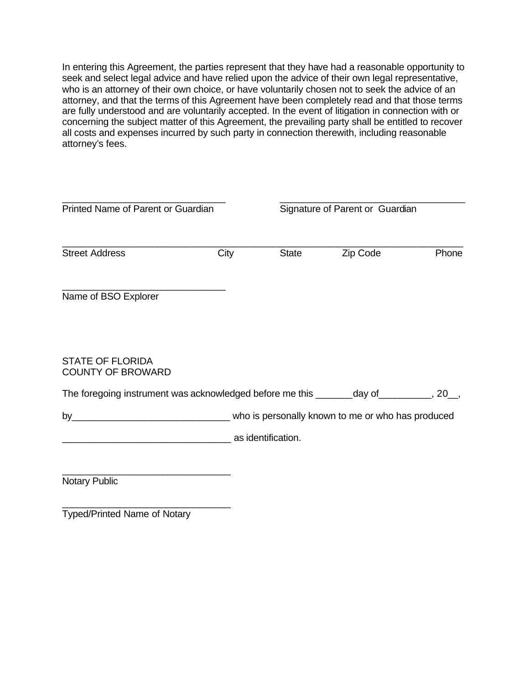In entering this Agreement, the parties represent that they have had a reasonable opportunity to seek and select legal advice and have relied upon the advice of their own legal representative, who is an attorney of their own choice, or have voluntarily chosen not to seek the advice of an attorney, and that the terms of this Agreement have been completely read and that those terms are fully understood and are voluntarily accepted. In the event of litigation in connection with or concerning the subject matter of this Agreement, the prevailing party shall be entitled to recover all costs and expenses incurred by such party in connection therewith, including reasonable attorney's fees.

| Printed Name of Parent or Guardian                                                    |      | Signature of Parent or Guardian |          |       |
|---------------------------------------------------------------------------------------|------|---------------------------------|----------|-------|
| <b>Street Address</b>                                                                 | City | <b>State</b>                    | Zip Code | Phone |
| Name of BSO Explorer                                                                  |      |                                 |          |       |
| <b>STATE OF FLORIDA</b><br><b>COUNTY OF BROWARD</b>                                   |      |                                 |          |       |
| The foregoing instrument was acknowledged before me this _______day of_________, 20_, |      |                                 |          |       |
|                                                                                       |      |                                 |          |       |
| as identification.                                                                    |      |                                 |          |       |
| Notary Public                                                                         |      |                                 |          |       |

Typed/Printed Name of Notary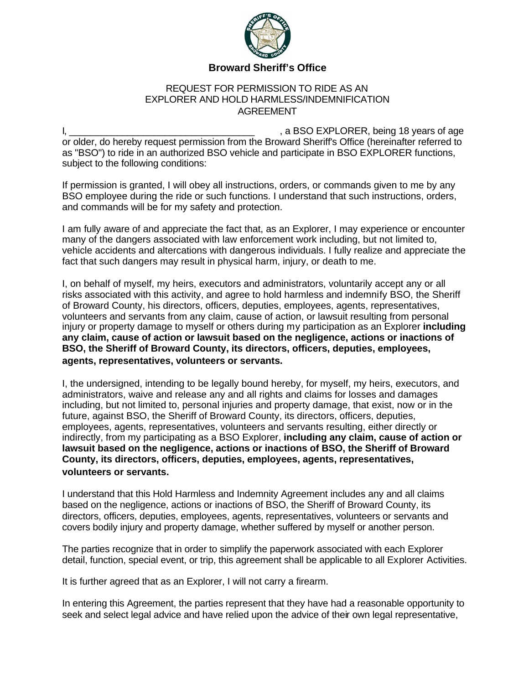

### **Broward Sheriff's Office**

### REQUEST FOR PERMISSION TO RIDE AS AN EXPLORER AND HOLD HARMLESS/INDEMNIFICATION AGREEMENT

I, \_\_\_\_\_\_\_\_\_\_\_\_\_\_\_\_\_\_\_\_\_\_\_\_\_\_\_\_\_\_\_\_\_\_\_ , a BSO EXPLORER, being 18 years of age or older, do hereby request permission from the Broward Sheriff's Office (hereinafter referred to as "BSO") to ride in an authorized BSO vehicle and participate in BSO EXPLORER functions, subject to the following conditions:

If permission is granted, I will obey all instructions, orders, or commands given to me by any BSO employee during the ride or such functions. I understand that such instructions, orders, and commands will be for my safety and protection.

I am fully aware of and appreciate the fact that, as an Explorer, I may experience or encounter many of the dangers associated with law enforcement work including, but not limited to, vehicle accidents and altercations with dangerous individuals. I fully realize and appreciate the fact that such dangers may result in physical harm, injury, or death to me.

I, on behalf of myself, my heirs, executors and administrators, voluntarily accept any or all risks associated with this activity, and agree to hold harmless and indemnify BSO, the Sheriff of Broward County, his directors, officers, deputies, employees, agents, representatives, volunteers and servants from any claim, cause of action, or lawsuit resulting from personal injury or property damage to myself or others during my participation as an Explorer **including any claim, cause of action or lawsuit based on the negligence, actions or inactions of BSO, the Sheriff of Broward County, its directors, officers, deputies, employees, agents, representatives, volunteers or servants.**

I, the undersigned, intending to be legally bound hereby, for myself, my heirs, executors, and administrators, waive and release any and all rights and claims for losses and damages including, but not limited to, personal injuries and property damage, that exist, now or in the future, against BSO, the Sheriff of Broward County, its directors, officers, deputies, employees, agents, representatives, volunteers and servants resulting, either directly or indirectly, from my participating as a BSO Explorer, **including any claim, cause of action or lawsuit based on the negligence, actions or inactions of BSO, the Sheriff of Broward County, its directors, officers, deputies, employees, agents, representatives, volunteers or servants.**

I understand that this Hold Harmless and Indemnity Agreement includes any and all claims based on the negligence, actions or inactions of BSO, the Sheriff of Broward County, its directors, officers, deputies, employees, agents, representatives, volunteers or servants and covers bodily injury and property damage, whether suffered by myself or another person.

The parties recognize that in order to simplify the paperwork associated with each Explorer detail, function, special event, or trip, this agreement shall be applicable to all Explorer Activities.

It is further agreed that as an Explorer, I will not carry a firearm.

In entering this Agreement, the parties represent that they have had a reasonable opportunity to seek and select legal advice and have relied upon the advice of their own legal representative,